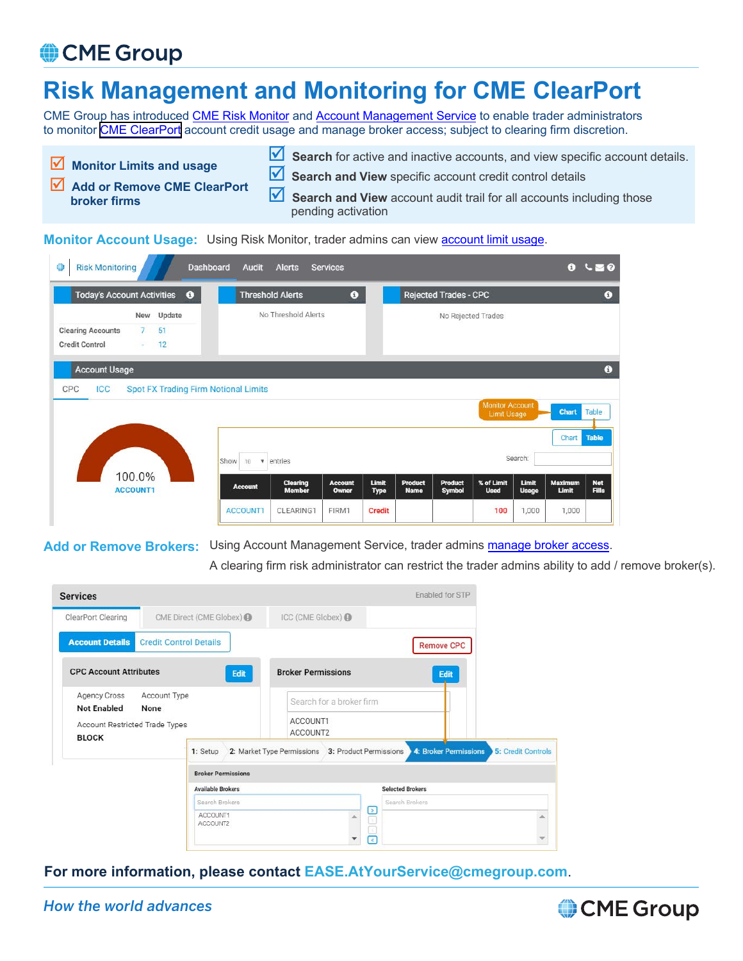## CME Group

## **Risk Management and Monitoring for CME ClearPort**

CME Group has introduced [CME Risk Monitor](https://www.cmegroup.com/tools-information/webhelp/risk-monitor/Default.html) and [Account Management Service](https://www.cmegroup.com/tools-information/webhelp/account-manager-service/Default.html) to enable trader administrators to monitor [CME ClearPort](https://www.cmegroup.com/clearport.html) account credit usage and manage broker access; subject to clearing firm discretion.

pending activation

**Monitor Limits and usage** Add or Remove CME ClearPort **broker firms Search** for active and inactive accounts, and view specific account details. **Search and View** specific account credit control details **Search and View** account audit trail for all accounts including those

**Monitor Account Usage:** Using Risk Monitor, trader admins can view **account limit usage**.

| <b>Today's Account Activities</b>                 |                           | $\bullet$          |                                             | <b>Threshold Alerts</b>              | $\bullet$               |                      |                               | <b>Rejected Trades - CPC</b>    |                                              |                       |                         | $\bullet$                  |
|---------------------------------------------------|---------------------------|--------------------|---------------------------------------------|--------------------------------------|-------------------------|----------------------|-------------------------------|---------------------------------|----------------------------------------------|-----------------------|-------------------------|----------------------------|
| <b>Clearing Accounts</b><br><b>Credit Control</b> | New<br>7 <sup>1</sup>     | Update<br>51<br>12 |                                             | No Threshold Alerts                  |                         |                      |                               | No Rejected Trades              |                                              |                       |                         |                            |
| <b>Account Usage</b>                              |                           |                    |                                             |                                      |                         |                      |                               |                                 |                                              |                       |                         | $\bullet$                  |
| CPC<br><b>ICC</b>                                 |                           |                    | <b>Spot FX Trading Firm Notional Limits</b> |                                      |                         |                      |                               |                                 | <b>Monitor Account</b><br><b>Limit Usage</b> |                       | Chart                   | Table                      |
|                                                   |                           |                    | Show<br>10                                  | $\boldsymbol{\mathrm{v}}$<br>entries |                         |                      |                               |                                 |                                              | Search:               | Chart                   | <b>Table</b>               |
|                                                   | 100.0%<br><b>ACCOUNT1</b> |                    | <b>Account</b>                              | <b>Clearing</b><br><b>Member</b>     | <b>Account</b><br>Owner | Limit<br><b>Type</b> | <b>Product</b><br><b>Name</b> | <b>Product</b><br><b>Symbol</b> | % of Limit<br><b>Used</b>                    | Limit<br><b>Usage</b> | <b>Maximum</b><br>Limit | <b>Net</b><br><b>Fills</b> |

Add or Remove Brokers: Using Account Management Service, trader admins [manage broker access](https://www.cmegroup.com/tools-information/webhelp/account-manager-service/Content/market-product-broker-permissions.html).

A clearing firm risk administrator can restrict the trader admins ability to add / remove broker(s).

| <b>Services</b>                                            |                               |                           |                                                   |                                               |                | Enabled for STP         |                    |  |  |  |
|------------------------------------------------------------|-------------------------------|---------------------------|---------------------------------------------------|-----------------------------------------------|----------------|-------------------------|--------------------|--|--|--|
| ClearPort Clearing<br>CME Direct (CME Globex) @            |                               |                           | ICC (CME Globex) @                                |                                               |                |                         |                    |  |  |  |
| <b>Account Details</b>                                     | <b>Credit Control Details</b> |                           |                                                   |                                               |                | <b>Remove CPC</b>       |                    |  |  |  |
| <b>CPC Account Attributes</b>                              |                               | Edit                      | <b>Broker Permissions</b>                         |                                               |                | Edit                    |                    |  |  |  |
| Agency Cross<br>Account Type<br><b>Not Enabled</b><br>None |                               |                           | Search for a broker firm                          |                                               |                |                         |                    |  |  |  |
| Account Restricted Trade Types<br><b>BLOCK</b>             |                               |                           | ACCOUNT1<br>ACCOUNT2                              |                                               |                |                         |                    |  |  |  |
|                                                            |                               | 1: Setup                  | 2: Market Type Permissions 3: Product Permissions |                                               |                | 4: Broker Permissions   | 5: Credit Controls |  |  |  |
|                                                            |                               | <b>Broker Permissions</b> |                                                   |                                               |                |                         |                    |  |  |  |
| <b>Available Brokers</b>                                   |                               |                           |                                                   |                                               |                | <b>Selected Brokers</b> |                    |  |  |  |
|                                                            |                               | Search Brokers            |                                                   |                                               | Search Brokers |                         |                    |  |  |  |
|                                                            |                               | ACCOUNT1<br>ACCOUNT2      |                                                   | $\frac{1}{\sqrt{2}}$<br>$\overline{\epsilon}$ |                |                         | ×                  |  |  |  |
|                                                            |                               |                           |                                                   |                                               |                |                         |                    |  |  |  |

**For more information, please contact EASE.AtYourService@cmegroup.com**.

## *How the world advances*